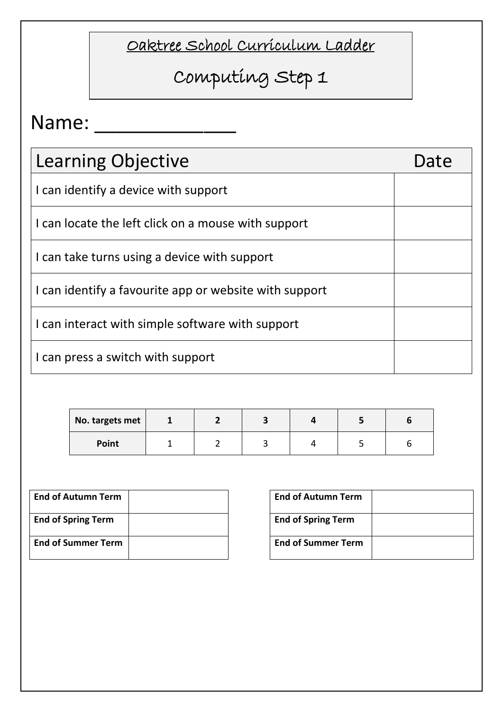# Computing Step 1

| Learning Objective                                     | Date |
|--------------------------------------------------------|------|
| I can identify a device with support                   |      |
| I can locate the left click on a mouse with support    |      |
| I can take turns using a device with support           |      |
| I can identify a favourite app or website with support |      |
| I can interact with simple software with support       |      |
| I can press a switch with support                      |      |

| No. targets met |  |  |  |
|-----------------|--|--|--|
| <b>Point</b>    |  |  |  |

| <b>End of Autumn Term</b> |  | <b>End of Autumn Term</b> |
|---------------------------|--|---------------------------|
| <b>End of Spring Term</b> |  | <b>End of Spring Term</b> |
| <b>End of Summer Term</b> |  | <b>End of Summer Term</b> |

| <b>End of Autumn Term</b> |  |
|---------------------------|--|
| <b>End of Spring Term</b> |  |
| <b>End of Summer Term</b> |  |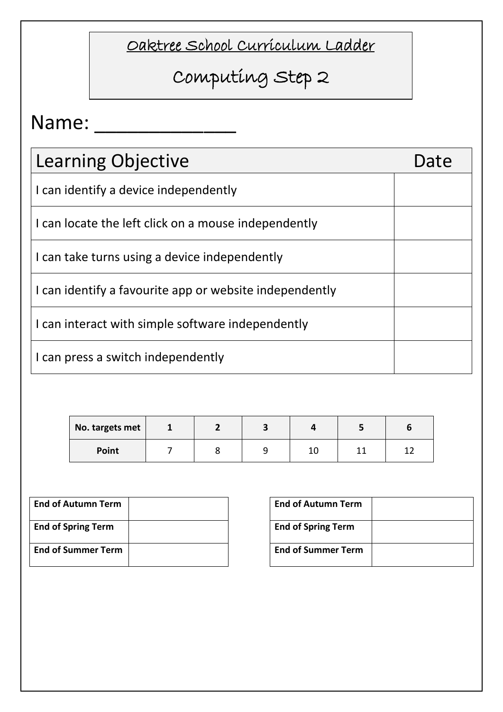# Computing Step 2

| Learning Objective                                      | Date |
|---------------------------------------------------------|------|
| I can identify a device independently                   |      |
| I can locate the left click on a mouse independently    |      |
| I can take turns using a device independently           |      |
| I can identify a favourite app or website independently |      |
| I can interact with simple software independently       |      |
| I can press a switch independently                      |      |

| No. targets met |  |    |  |
|-----------------|--|----|--|
| Point           |  | ⊥∪ |  |

| <b>End of Autumn Term</b> |  | <b>End of Autumn Term</b> |
|---------------------------|--|---------------------------|
| <b>End of Spring Term</b> |  | <b>End of Spring Term</b> |
| <b>End of Summer Term</b> |  | <b>End of Summer Term</b> |

| <b>End of Autumn Term</b> |  |
|---------------------------|--|
| <b>End of Spring Term</b> |  |
| <b>End of Summer Term</b> |  |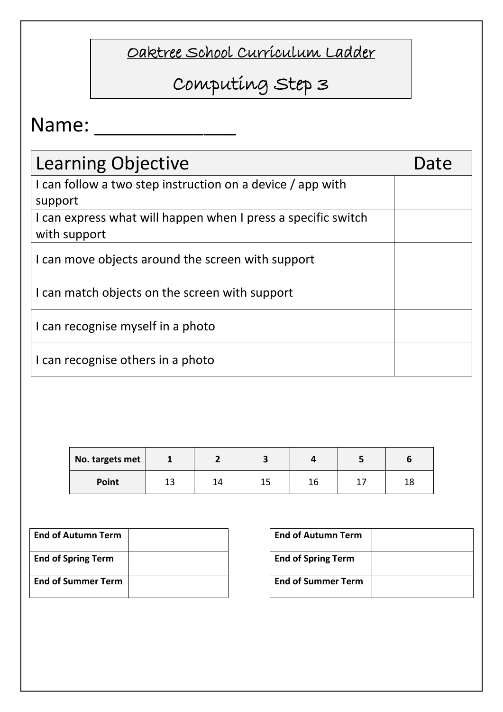# Computing Step 3

| Learning Objective                                            | Date |
|---------------------------------------------------------------|------|
| I can follow a two step instruction on a device / app with    |      |
| support                                                       |      |
| I can express what will happen when I press a specific switch |      |
| with support                                                  |      |
| I can move objects around the screen with support             |      |
| I can match objects on the screen with support                |      |
| I can recognise myself in a photo                             |      |
| I can recognise others in a photo                             |      |

| No. targets met |         |    |           |    |           |
|-----------------|---------|----|-----------|----|-----------|
| Point           | 12<br>∸ | 14 | 1 E<br>∸~ | 16 | 1 C<br>⊥о |

| <b>End of Autumn Term</b> | <b>End of Autumn Term</b> |
|---------------------------|---------------------------|
| <b>End of Spring Term</b> | <b>End of Spring Term</b> |
| <b>End of Summer Term</b> | <b>End of Summer Term</b> |

| <b>End of Autumn Term</b> |  |
|---------------------------|--|
| <b>End of Spring Term</b> |  |
| <b>End of Summer Term</b> |  |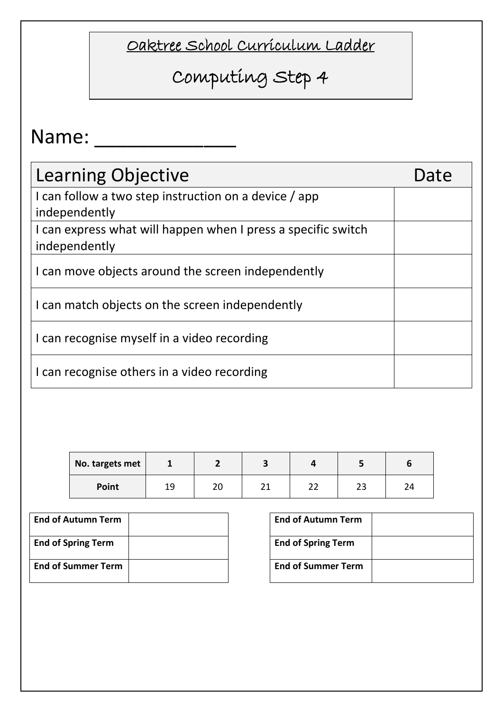# Computing Step 4

| <b>Learning Objective</b>                                     | Date |
|---------------------------------------------------------------|------|
| I can follow a two step instruction on a device / app         |      |
| independently                                                 |      |
| I can express what will happen when I press a specific switch |      |
| independently                                                 |      |
| I can move objects around the screen independently            |      |
| I can match objects on the screen independently               |      |
| I can recognise myself in a video recording                   |      |
| I can recognise others in a video recording                   |      |

| No. targets met |           |          |                  |              |          |    |
|-----------------|-----------|----------|------------------|--------------|----------|----|
| Point           | 1 Q<br>∸~ | ٦c<br>∠ບ | ົ<br><u>. . </u> | $\sim$<br>__ | າາ<br>دے | 24 |

| <b>End of Autumn Term</b> | <b>End of Autumn Term</b> |
|---------------------------|---------------------------|
| <b>End of Spring Term</b> | <b>End of Spring Term</b> |
| <b>End of Summer Term</b> | <b>End of Summer Term</b> |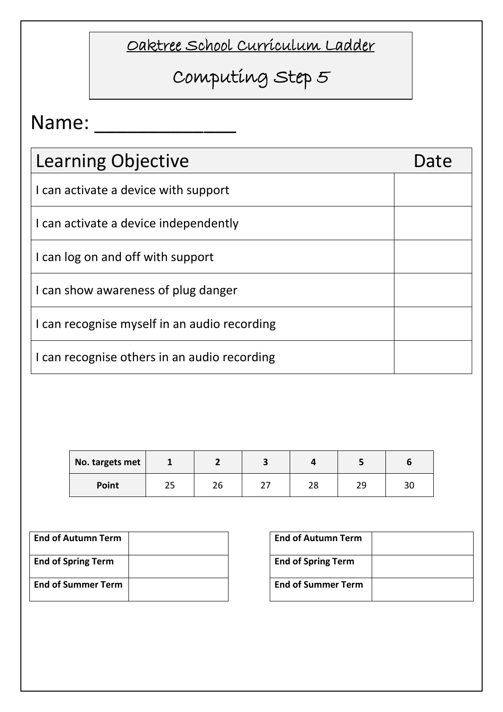# Computing Step 5

| Learning Objective                           | Date |
|----------------------------------------------|------|
| I can activate a device with support         |      |
| I can activate a device independently        |      |
| I can log on and off with support            |      |
| I can show awareness of plug danger          |      |
| I can recognise myself in an audio recording |      |
| I can recognise others in an audio recording |      |

| No. targets met |     |    |          |          |    |    |
|-----------------|-----|----|----------|----------|----|----|
| Point           | ر ے | 26 | <u>.</u> | າດ<br>20 | 29 | 3U |

| <b>End of Autumn Term</b> | <b>End of Autumn Term</b> |
|---------------------------|---------------------------|
| <b>End of Spring Term</b> | <b>End of Spring Term</b> |
| <b>End of Summer Term</b> | <b>End of Summer Term</b> |

| <b>End of Autumn Term</b> |  |
|---------------------------|--|
| <b>End of Spring Term</b> |  |
| <b>End of Summer Term</b> |  |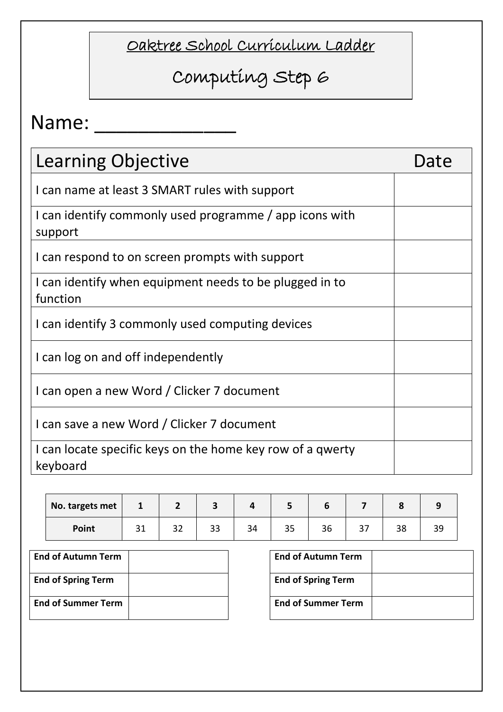## Computing Step 6

| Learning Objective                                                     | Date |
|------------------------------------------------------------------------|------|
| I can name at least 3 SMART rules with support                         |      |
| I can identify commonly used programme / app icons with<br>support     |      |
| I can respond to on screen prompts with support                        |      |
| I can identify when equipment needs to be plugged in to<br>function    |      |
| I can identify 3 commonly used computing devices                       |      |
| I can log on and off independently                                     |      |
| I can open a new Word / Clicker 7 document                             |      |
| I can save a new Word / Clicker 7 document                             |      |
| I can locate specific keys on the home key row of a qwerty<br>keyboard |      |

| No. targets met | $\mathbf{1}$ | -  |          |    |    |              |     |    |          |
|-----------------|--------------|----|----------|----|----|--------------|-----|----|----------|
| Point           | ᇰᆂ           | 32 | າາ<br>33 | 34 | 35 | $\sim$<br>30 | ، ب | 38 | <u>.</u> |

| <b>End of Autumn Term</b> | <b>End of Autumn Term</b> |
|---------------------------|---------------------------|
| <b>End of Spring Term</b> | <b>End of Spring Term</b> |
| <b>End of Summer Term</b> | <b>End of Summer Term</b> |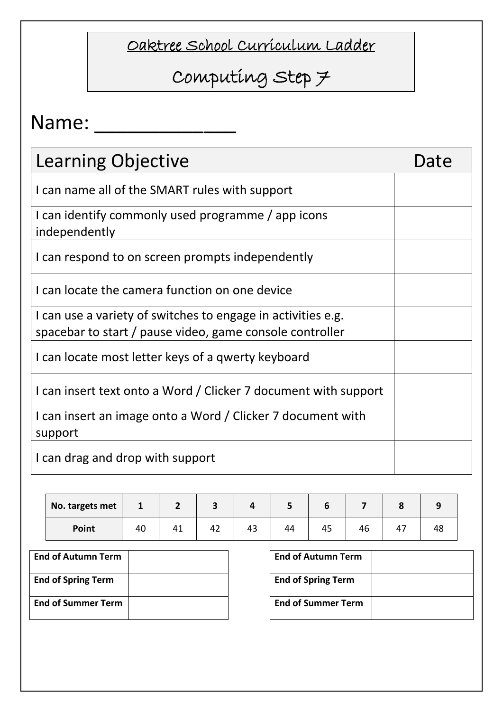# Computing Step 7

| <b>Learning Objective</b>                                                                                                | Date |
|--------------------------------------------------------------------------------------------------------------------------|------|
| I can name all of the SMART rules with support                                                                           |      |
| I can identify commonly used programme / app icons<br>independently                                                      |      |
| I can respond to on screen prompts independently                                                                         |      |
| I can locate the camera function on one device                                                                           |      |
| I can use a variety of switches to engage in activities e.g.<br>spacebar to start / pause video, game console controller |      |
| I can locate most letter keys of a qwerty keyboard                                                                       |      |
| I can insert text onto a Word / Clicker 7 document with support                                                          |      |
| I can insert an image onto a Word / Clicker 7 document with<br>support                                                   |      |
| I can drag and drop with support                                                                                         |      |

| No. targets met | Ŧ  |    |    |    |    |    |    |    |    |
|-----------------|----|----|----|----|----|----|----|----|----|
| Point           | 40 | 41 | 42 | 43 | 44 | 45 | 46 | 4, | 46 |

| <b>End of Autumn Term</b> | <b>End of Autumn Term</b> |
|---------------------------|---------------------------|
| <b>End of Spring Term</b> | <b>End of Spring Term</b> |
| <b>End of Summer Term</b> | <b>End of Summer Term</b> |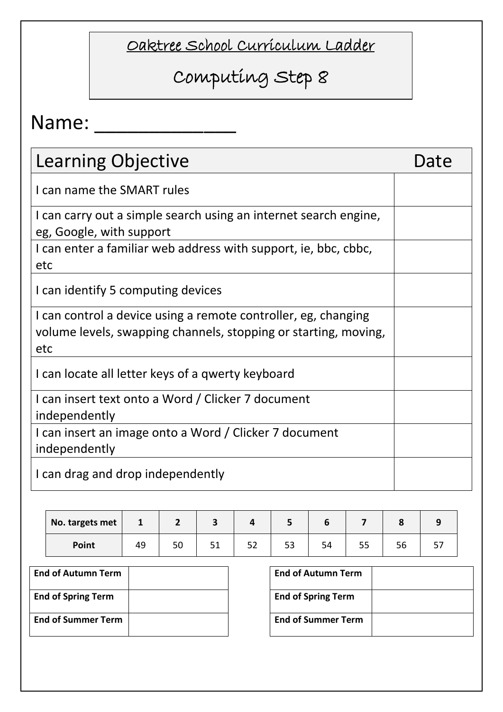# Computing Step 8

| <b>Learning Objective</b>                                                                                                                | Date |
|------------------------------------------------------------------------------------------------------------------------------------------|------|
| I can name the SMART rules                                                                                                               |      |
| I can carry out a simple search using an internet search engine,<br>eg, Google, with support                                             |      |
| I can enter a familiar web address with support, ie, bbc, cbbc,<br>etc                                                                   |      |
| I can identify 5 computing devices                                                                                                       |      |
| I can control a device using a remote controller, eg, changing<br>volume levels, swapping channels, stopping or starting, moving,<br>etc |      |
| I can locate all letter keys of a qwerty keyboard                                                                                        |      |
| I can insert text onto a Word / Clicker 7 document<br>independently                                                                      |      |
| I can insert an image onto a Word / Clicker 7 document<br>independently                                                                  |      |
| I can drag and drop independently                                                                                                        |      |

| No. targets met | ı  |          |            |    |     |    |   |
|-----------------|----|----------|------------|----|-----|----|---|
| Point           | 49 | ςr<br>JU | - -<br>ے ب | 53 | ں ر | סכ | ັ |

| <b>End of Autumn Term</b> | <b>End of Autumn Term</b> |
|---------------------------|---------------------------|
| <b>End of Spring Term</b> | <b>End of Spring Term</b> |
| <b>End of Summer Term</b> | <b>End of Summer Term</b> |

| <b>End of Autumn Term</b> |  |
|---------------------------|--|
| <b>End of Spring Term</b> |  |
| <b>End of Summer Term</b> |  |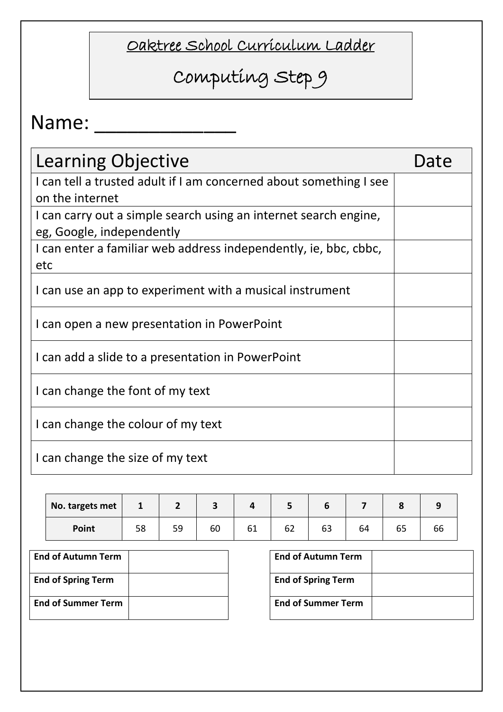# Computing Step 9

| Learning Objective                                                                            | Date |
|-----------------------------------------------------------------------------------------------|------|
| I can tell a trusted adult if I am concerned about something I see<br>on the internet         |      |
| I can carry out a simple search using an internet search engine,<br>eg, Google, independently |      |
| I can enter a familiar web address independently, ie, bbc, cbbc,<br>etc                       |      |
| I can use an app to experiment with a musical instrument                                      |      |
| I can open a new presentation in PowerPoint                                                   |      |
| I can add a slide to a presentation in PowerPoint                                             |      |
| I can change the font of my text                                                              |      |
| I can change the colour of my text                                                            |      |
| I can change the size of my text                                                              |      |

| No. targets met | 1  |    |    |    |    |    |    |    |    |
|-----------------|----|----|----|----|----|----|----|----|----|
| Point           | 58 | 59 | 60 | 61 | 62 | ხკ | 64 | כס | bb |

| <b>End of Autumn Term</b> | <b>End of Autumn Term</b> |
|---------------------------|---------------------------|
| <b>End of Spring Term</b> | <b>End of Spring Term</b> |
| <b>End of Summer Term</b> | <b>End of Summer Term</b> |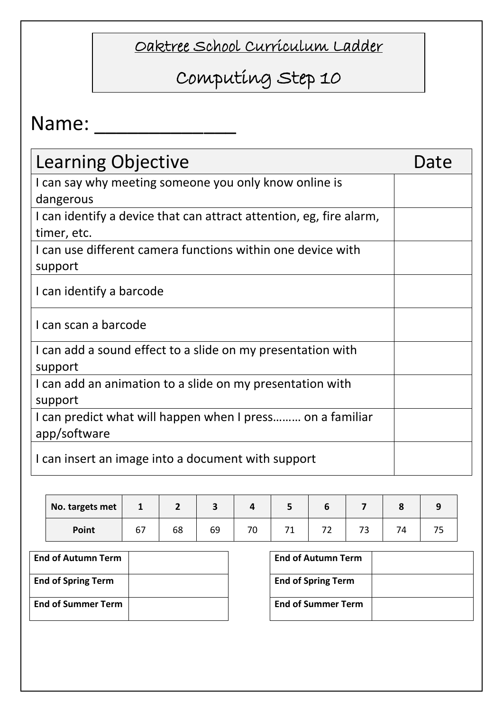# Computing Step 10

| <b>Learning Objective</b>                                                          | Date |
|------------------------------------------------------------------------------------|------|
| I can say why meeting someone you only know online is<br>dangerous                 |      |
| I can identify a device that can attract attention, eg, fire alarm,<br>timer, etc. |      |
| I can use different camera functions within one device with<br>support             |      |
| I can identify a barcode                                                           |      |
| I can scan a barcode                                                               |      |
| I can add a sound effect to a slide on my presentation with<br>support             |      |
| I can add an animation to a slide on my presentation with<br>support               |      |
| I can predict what will happen when I press on a familiar<br>app/software          |      |
| I can insert an image into a document with support                                 |      |

| No. targets met | $\mathbf{r}$ |    |    |   |  |   |  |
|-----------------|--------------|----|----|---|--|---|--|
| Point           | 67           | 68 | 69 | ັ |  | ັ |  |

| <b>End of Autumn Term</b> | <b>End of Autumn Term</b> |
|---------------------------|---------------------------|
| <b>End of Spring Term</b> | <b>End of Spring Term</b> |
| <b>End of Summer Term</b> | <b>End of Summer Term</b> |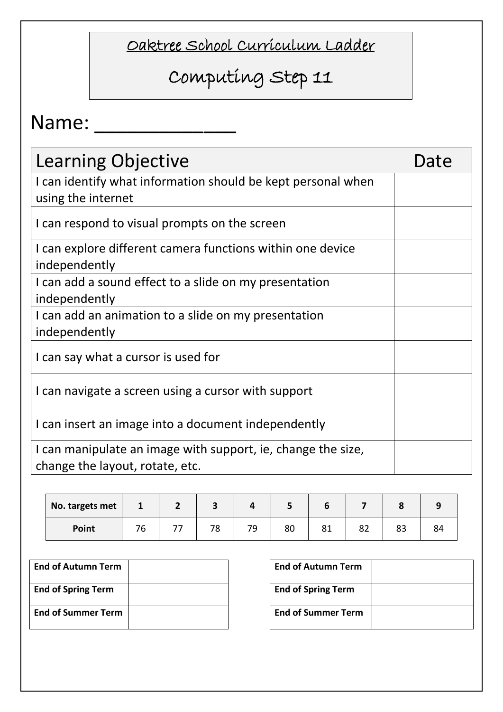# Computing Step 11

| Learning Objective                                                                              | Date |
|-------------------------------------------------------------------------------------------------|------|
| I can identify what information should be kept personal when<br>using the internet              |      |
| I can respond to visual prompts on the screen                                                   |      |
| I can explore different camera functions within one device<br>independently                     |      |
| I can add a sound effect to a slide on my presentation<br>independently                         |      |
| I can add an animation to a slide on my presentation<br>independently                           |      |
| I can say what a cursor is used for                                                             |      |
| I can navigate a screen using a cursor with support                                             |      |
| I can insert an image into a document independently                                             |      |
| I can manipulate an image with support, ie, change the size,<br>change the layout, rotate, etc. |      |

| No. targets met | $\mathbf{I}$ |    |    |    |     |         |    |  |
|-----------------|--------------|----|----|----|-----|---------|----|--|
| Point           | 76           | 78 | 79 | 80 | ر ہ | o٠<br>ᅆ | ບບ |  |

| <b>End of Autumn Term</b> | <b>End of Autumn Term</b> |
|---------------------------|---------------------------|
| <b>End of Spring Term</b> | <b>End of Spring Term</b> |
| <b>End of Summer Term</b> | <b>End of Summer Term</b> |

| <b>End of Autumn Term</b> |  |
|---------------------------|--|
| <b>End of Spring Term</b> |  |
| <b>End of Summer Term</b> |  |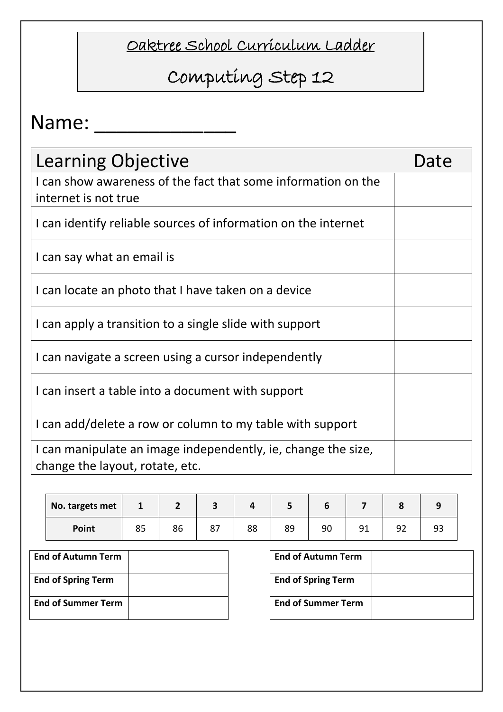# Computing Step 12

| <b>Learning Objective</b>                                                                        | Date |
|--------------------------------------------------------------------------------------------------|------|
| I can show awareness of the fact that some information on the<br>internet is not true            |      |
| I can identify reliable sources of information on the internet                                   |      |
| I can say what an email is                                                                       |      |
| I can locate an photo that I have taken on a device                                              |      |
| I can apply a transition to a single slide with support                                          |      |
| I can navigate a screen using a cursor independently                                             |      |
| I can insert a table into a document with support                                                |      |
| I can add/delete a row or column to my table with support                                        |      |
| I can manipulate an image independently, ie, change the size,<br>change the layout, rotate, etc. |      |

| No. targets met | $\mathbf{I}$ | ∠  |         |    |    |    |                |           |  |
|-----------------|--------------|----|---------|----|----|----|----------------|-----------|--|
| Point           | 85           | 86 | $\circ$ | 88 | 89 | 90 | Q <sub>1</sub> | ۹ĵ<br>ے ر |  |

| <b>End of Autumn Term</b> | <b>End of Autumn Term</b> |
|---------------------------|---------------------------|
| <b>End of Spring Term</b> | <b>End of Spring Term</b> |
| <b>End of Summer Term</b> | <b>End of Summer Term</b> |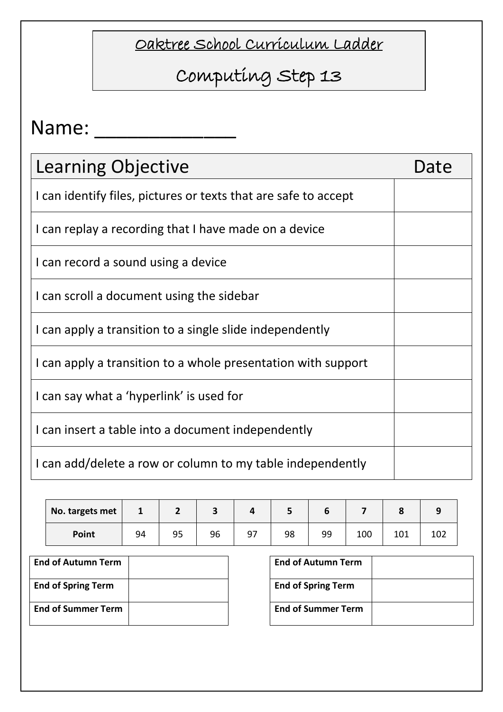# Computing Step 13

| <b>Learning Objective</b>                                       | Date |
|-----------------------------------------------------------------|------|
| I can identify files, pictures or texts that are safe to accept |      |
| I can replay a recording that I have made on a device           |      |
| I can record a sound using a device                             |      |
| I can scroll a document using the sidebar                       |      |
| I can apply a transition to a single slide independently        |      |
| I can apply a transition to a whole presentation with support   |      |
| I can say what a 'hyperlink' is used for                        |      |
| I can insert a table into a document independently              |      |
| I can add/delete a row or column to my table independently      |      |

| No. targets met |    |    |    |    | ٠  |    |     |     |     |
|-----------------|----|----|----|----|----|----|-----|-----|-----|
| Point           | 94 | 95 | 96 | 97 | 98 | 99 | 100 | 101 | TOT |

| <b>End of Autumn Term</b> |  | <b>End of Autumn Term</b> |
|---------------------------|--|---------------------------|
| <b>End of Spring Term</b> |  | <b>End of Spring Term</b> |
| <b>End of Summer Term</b> |  | <b>End of Summer Term</b> |

| <b>End of Autumn Term</b> |  |
|---------------------------|--|
| <b>End of Spring Term</b> |  |
| <b>End of Summer Term</b> |  |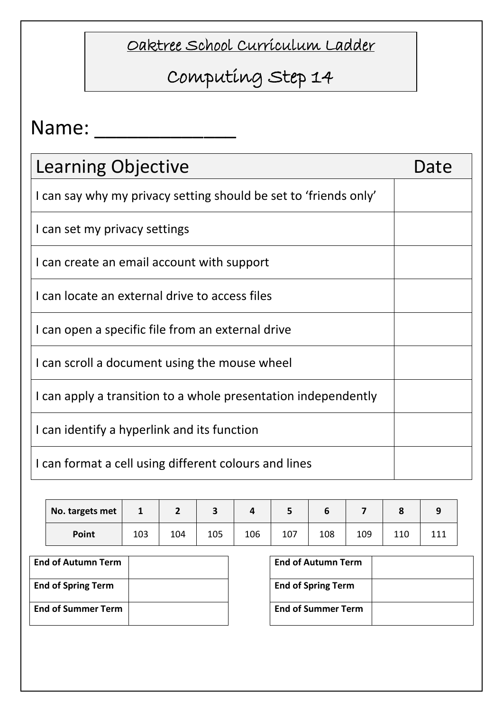# Computing Step 14

| <b>Learning Objective</b>                                        | Date |
|------------------------------------------------------------------|------|
| I can say why my privacy setting should be set to 'friends only' |      |
| I can set my privacy settings                                    |      |
| I can create an email account with support                       |      |
| I can locate an external drive to access files                   |      |
| I can open a specific file from an external drive                |      |
| I can scroll a document using the mouse wheel                    |      |
| I can apply a transition to a whole presentation independently   |      |
| I can identify a hyperlink and its function                      |      |
| I can format a cell using different colours and lines            |      |

| No. targets met |     |     |     |     | ت   |     |     |     |     |
|-----------------|-----|-----|-----|-----|-----|-----|-----|-----|-----|
| Point           | 103 | 104 | 105 | 106 | 107 | 108 | 109 | 110 | 444 |

| <b>End of Autumn Term</b> | <b>End of Autumn Term</b> |
|---------------------------|---------------------------|
| <b>End of Spring Term</b> | <b>End of Spring Term</b> |
| <b>End of Summer Term</b> | <b>End of Summer Term</b> |

| <b>End of Autumn Term</b> |  |
|---------------------------|--|
| <b>End of Spring Term</b> |  |
| <b>End of Summer Term</b> |  |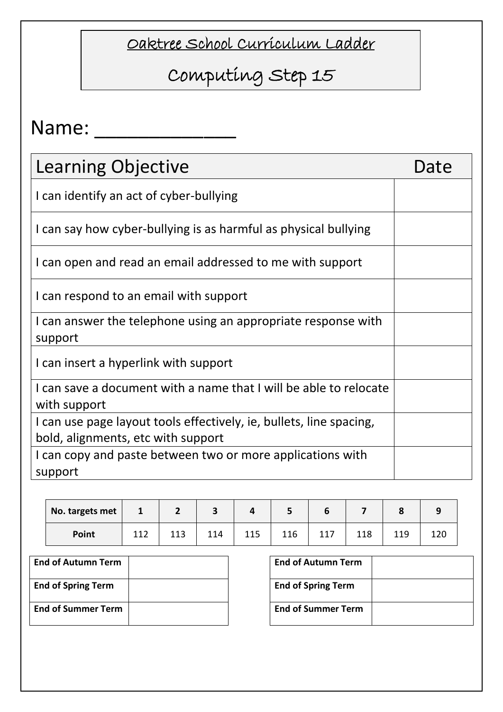## Computing Step 15

| <b>Learning Objective</b>                                                         | Date |
|-----------------------------------------------------------------------------------|------|
| I can identify an act of cyber-bullying                                           |      |
| I can say how cyber-bullying is as harmful as physical bullying                   |      |
| I can open and read an email addressed to me with support                         |      |
| I can respond to an email with support                                            |      |
| I can answer the telephone using an appropriate response with<br>support          |      |
| I can insert a hyperlink with support                                             |      |
| I can save a document with a name that I will be able to relocate<br>with support |      |
| I can use page layout tools effectively, ie, bullets, line spacing,               |      |
| bold, alignments, etc with support                                                |      |
| I can copy and paste between two or more applications with                        |      |
| support                                                                           |      |

| No. targets met | <b>T</b> |    |     |     |     | ь   |     |     |    |
|-----------------|----------|----|-----|-----|-----|-----|-----|-----|----|
| Point           | 112      | ᆂᆂ | 114 | 115 | 116 | 117 | 118 | 119 | ᅶᄼ |

| <b>End of Autumn Term</b> |  | <b>End of Autumn Term</b> |
|---------------------------|--|---------------------------|
| <b>End of Spring Term</b> |  | <b>End of Spring Term</b> |
| <b>End of Summer Term</b> |  | <b>End of Summer Term</b> |

| <b>End of Autumn Term</b> |  |
|---------------------------|--|
| <b>End of Spring Term</b> |  |
| <b>End of Summer Term</b> |  |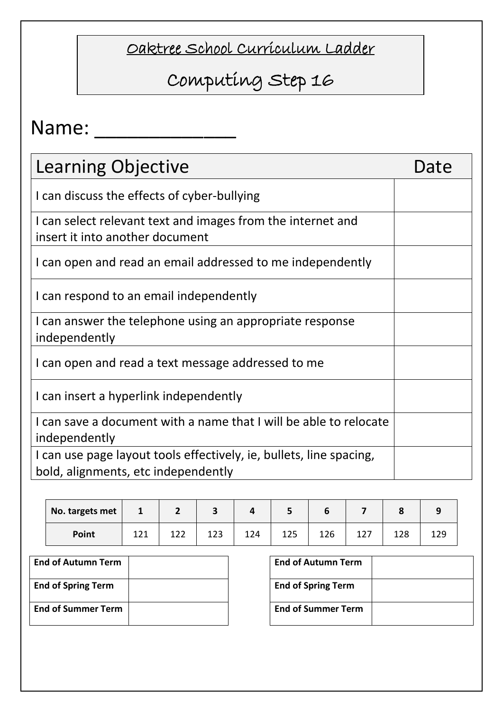### Computing Step 16

| <b>Learning Objective</b>                                                                                  | Date |
|------------------------------------------------------------------------------------------------------------|------|
| I can discuss the effects of cyber-bullying                                                                |      |
| I can select relevant text and images from the internet and<br>insert it into another document             |      |
| I can open and read an email addressed to me independently                                                 |      |
| I can respond to an email independently                                                                    |      |
| I can answer the telephone using an appropriate response<br>independently                                  |      |
| I can open and read a text message addressed to me                                                         |      |
| I can insert a hyperlink independently                                                                     |      |
| I can save a document with a name that I will be able to relocate<br>independently                         |      |
| I can use page layout tools effectively, ie, bullets, line spacing,<br>bold, alignments, etc independently |      |

| No. targets met | Ŧ   | - |          |     |     | n   |     |    |
|-----------------|-----|---|----------|-----|-----|-----|-----|----|
| Point           | ᆂᄼᆂ |   | າາ<br>ᅩᄼ | 124 | 125 | 126 | 128 | ᅩᄼ |

| <b>End of Autumn Term</b> |  | <b>End of Autumn Term</b> |
|---------------------------|--|---------------------------|
| <b>End of Spring Term</b> |  | <b>End of Spring Term</b> |
| <b>End of Summer Term</b> |  | <b>End of Summer Term</b> |

| <b>End of Autumn Term</b> |  |
|---------------------------|--|
| <b>End of Spring Term</b> |  |
| <b>End of Summer Term</b> |  |